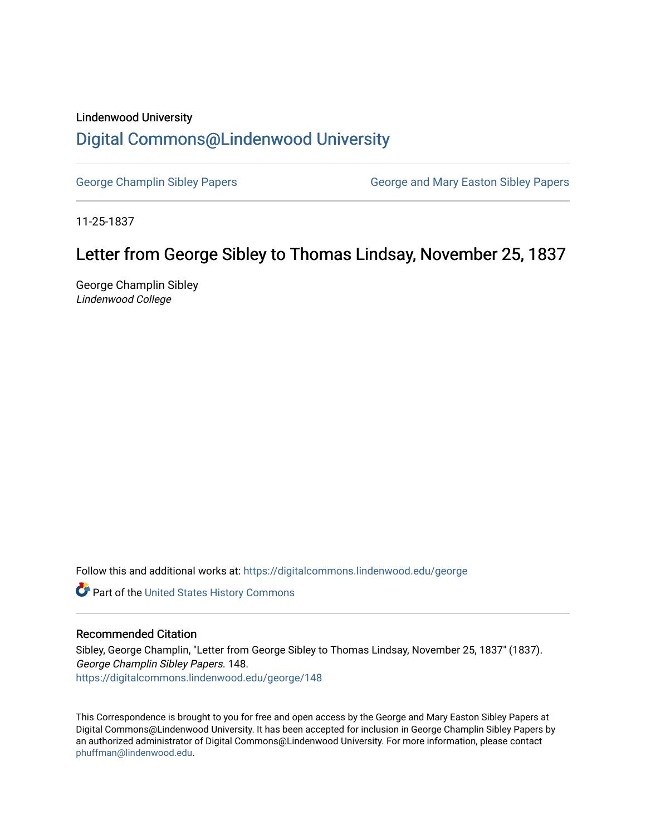### Lindenwood University

## [Digital Commons@Lindenwood University](https://digitalcommons.lindenwood.edu/)

[George Champlin Sibley Papers](https://digitalcommons.lindenwood.edu/george) George and Mary Easton Sibley Papers

11-25-1837

# Letter from George Sibley to Thomas Lindsay, November 25, 1837

George Champlin Sibley Lindenwood College

Follow this and additional works at: [https://digitalcommons.lindenwood.edu/george](https://digitalcommons.lindenwood.edu/george?utm_source=digitalcommons.lindenwood.edu%2Fgeorge%2F148&utm_medium=PDF&utm_campaign=PDFCoverPages)

Part of the [United States History Commons](http://network.bepress.com/hgg/discipline/495?utm_source=digitalcommons.lindenwood.edu%2Fgeorge%2F148&utm_medium=PDF&utm_campaign=PDFCoverPages) 

#### Recommended Citation

Sibley, George Champlin, "Letter from George Sibley to Thomas Lindsay, November 25, 1837" (1837). George Champlin Sibley Papers. 148. [https://digitalcommons.lindenwood.edu/george/148](https://digitalcommons.lindenwood.edu/george/148?utm_source=digitalcommons.lindenwood.edu%2Fgeorge%2F148&utm_medium=PDF&utm_campaign=PDFCoverPages)

This Correspondence is brought to you for free and open access by the George and Mary Easton Sibley Papers at Digital Commons@Lindenwood University. It has been accepted for inclusion in George Champlin Sibley Papers by an authorized administrator of Digital Commons@Lindenwood University. For more information, please contact [phuffman@lindenwood.edu](mailto:phuffman@lindenwood.edu).